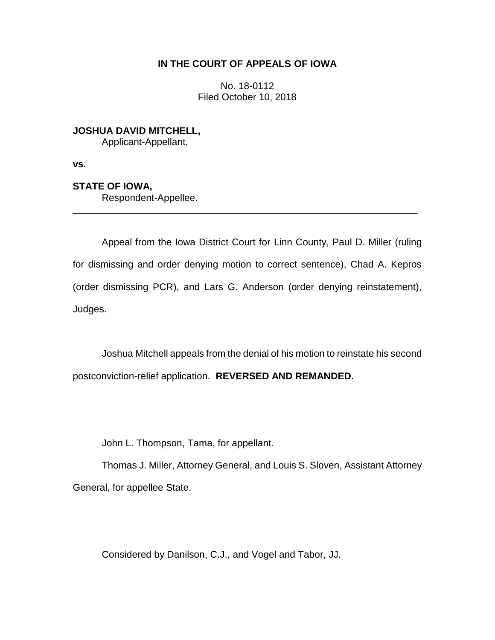## **IN THE COURT OF APPEALS OF IOWA**

No. 18-0112 Filed October 10, 2018

**JOSHUA DAVID MITCHELL,** Applicant-Appellant,

**vs.**

**STATE OF IOWA,**

Respondent-Appellee.

Appeal from the Iowa District Court for Linn County, Paul D. Miller (ruling for dismissing and order denying motion to correct sentence), Chad A. Kepros (order dismissing PCR), and Lars G. Anderson (order denying reinstatement), Judges.

\_\_\_\_\_\_\_\_\_\_\_\_\_\_\_\_\_\_\_\_\_\_\_\_\_\_\_\_\_\_\_\_\_\_\_\_\_\_\_\_\_\_\_\_\_\_\_\_\_\_\_\_\_\_\_\_\_\_\_\_\_\_\_\_

Joshua Mitchell appeals from the denial of his motion to reinstate his second postconviction-relief application. **REVERSED AND REMANDED.**

John L. Thompson, Tama, for appellant.

Thomas J. Miller, Attorney General, and Louis S. Sloven, Assistant Attorney General, for appellee State.

Considered by Danilson, C.J., and Vogel and Tabor, JJ.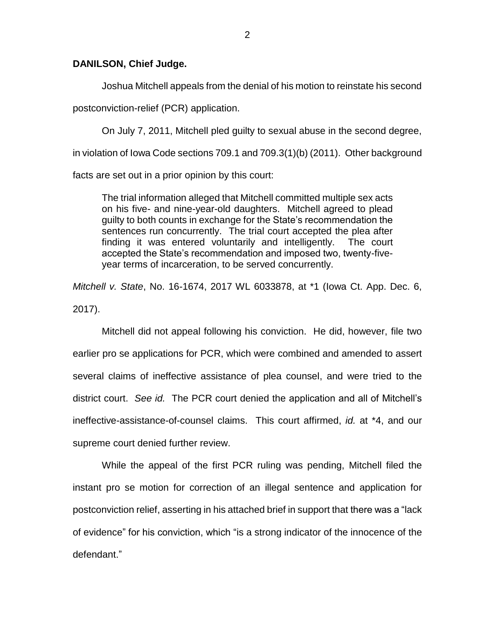## **DANILSON, Chief Judge.**

Joshua Mitchell appeals from the denial of his motion to reinstate his second postconviction-relief (PCR) application.

On July 7, 2011, Mitchell pled guilty to sexual abuse in the second degree, in violation of Iowa Code sections 709.1 and 709.3(1)(b) (2011). Other background facts are set out in a prior opinion by this court:

The trial information alleged that Mitchell committed multiple sex acts on his five- and nine-year-old daughters. Mitchell agreed to plead guilty to both counts in exchange for the State's recommendation the sentences run concurrently. The trial court accepted the plea after finding it was entered voluntarily and intelligently. The court accepted the State's recommendation and imposed two, twenty-fiveyear terms of incarceration, to be served concurrently.

*Mitchell v. State*, No. 16-1674, 2017 WL 6033878, at \*1 (Iowa Ct. App. Dec. 6, 2017).

Mitchell did not appeal following his conviction. He did, however, file two earlier pro se applications for PCR, which were combined and amended to assert several claims of ineffective assistance of plea counsel, and were tried to the district court. *See id.* The PCR court denied the application and all of Mitchell's ineffective-assistance-of-counsel claims. This court affirmed, *id.* at \*4, and our supreme court denied further review.

While the appeal of the first PCR ruling was pending, Mitchell filed the instant pro se motion for correction of an illegal sentence and application for postconviction relief, asserting in his attached brief in support that there was a "lack of evidence" for his conviction, which "is a strong indicator of the innocence of the defendant"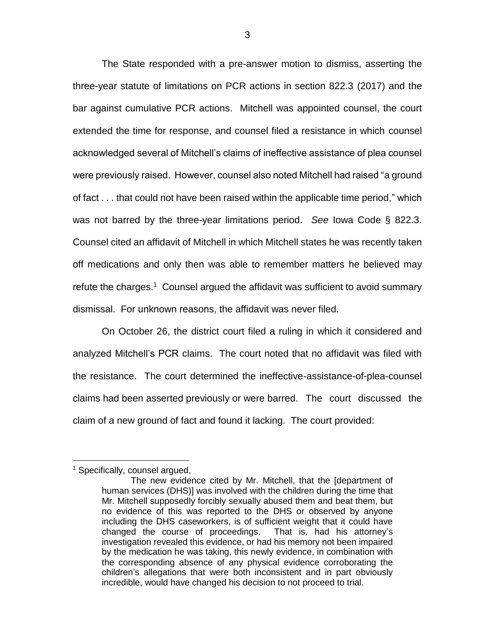The State responded with a pre-answer motion to dismiss, asserting the three-year statute of limitations on PCR actions in section 822.3 (2017) and the bar against cumulative PCR actions. Mitchell was appointed counsel, the court extended the time for response, and counsel filed a resistance in which counsel acknowledged several of Mitchell's claims of ineffective assistance of plea counsel were previously raised. However, counsel also noted Mitchell had raised "a ground of fact . . . that could not have been raised within the applicable time period," which was not barred by the three-year limitations period. *See* Iowa Code § 822.3. Counsel cited an affidavit of Mitchell in which Mitchell states he was recently taken off medications and only then was able to remember matters he believed may refute the charges. $1$  Counsel argued the affidavit was sufficient to avoid summary dismissal. For unknown reasons, the affidavit was never filed.

On October 26, the district court filed a ruling in which it considered and analyzed Mitchell's PCR claims. The court noted that no affidavit was filed with the resistance. The court determined the ineffective-assistance-of-plea-counsel claims had been asserted previously or were barred. The court discussed the claim of a new ground of fact and found it lacking. The court provided:

 $\overline{a}$ 

<sup>&</sup>lt;sup>1</sup> Specifically, counsel argued,

The new evidence cited by Mr. Mitchell, that the [department of human services (DHS)] was involved with the children during the time that Mr. Mitchell supposedly forcibly sexually abused them and beat them, but no evidence of this was reported to the DHS or observed by anyone including the DHS caseworkers, is of sufficient weight that it could have changed the course of proceedings. That is, had his attorney's investigation revealed this evidence, or had his memory not been impaired by the medication he was taking, this newly evidence, in combination with the corresponding absence of any physical evidence corroborating the children's allegations that were both inconsistent and in part obviously incredible, would have changed his decision to not proceed to trial.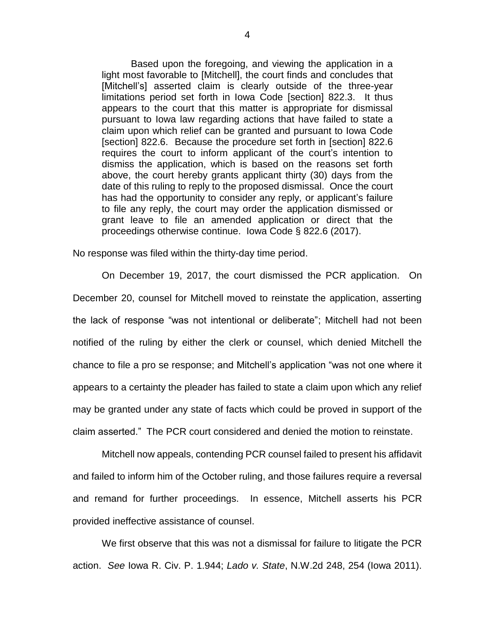Based upon the foregoing, and viewing the application in a light most favorable to [Mitchell], the court finds and concludes that [Mitchell's] asserted claim is clearly outside of the three-year limitations period set forth in Iowa Code [section] 822.3. It thus appears to the court that this matter is appropriate for dismissal pursuant to Iowa law regarding actions that have failed to state a claim upon which relief can be granted and pursuant to Iowa Code [section] 822.6. Because the procedure set forth in [section] 822.6 requires the court to inform applicant of the court's intention to dismiss the application, which is based on the reasons set forth above, the court hereby grants applicant thirty (30) days from the date of this ruling to reply to the proposed dismissal. Once the court has had the opportunity to consider any reply, or applicant's failure to file any reply, the court may order the application dismissed or grant leave to file an amended application or direct that the proceedings otherwise continue. Iowa Code § 822.6 (2017).

No response was filed within the thirty-day time period.

On December 19, 2017, the court dismissed the PCR application. On December 20, counsel for Mitchell moved to reinstate the application, asserting the lack of response "was not intentional or deliberate"; Mitchell had not been notified of the ruling by either the clerk or counsel, which denied Mitchell the chance to file a pro se response; and Mitchell's application "was not one where it appears to a certainty the pleader has failed to state a claim upon which any relief may be granted under any state of facts which could be proved in support of the claim asserted." The PCR court considered and denied the motion to reinstate.

Mitchell now appeals, contending PCR counsel failed to present his affidavit and failed to inform him of the October ruling, and those failures require a reversal and remand for further proceedings. In essence, Mitchell asserts his PCR provided ineffective assistance of counsel.

We first observe that this was not a dismissal for failure to litigate the PCR action. *See* Iowa R. Civ. P. 1.944; *Lado v. State*, N.W.2d 248, 254 (Iowa 2011).